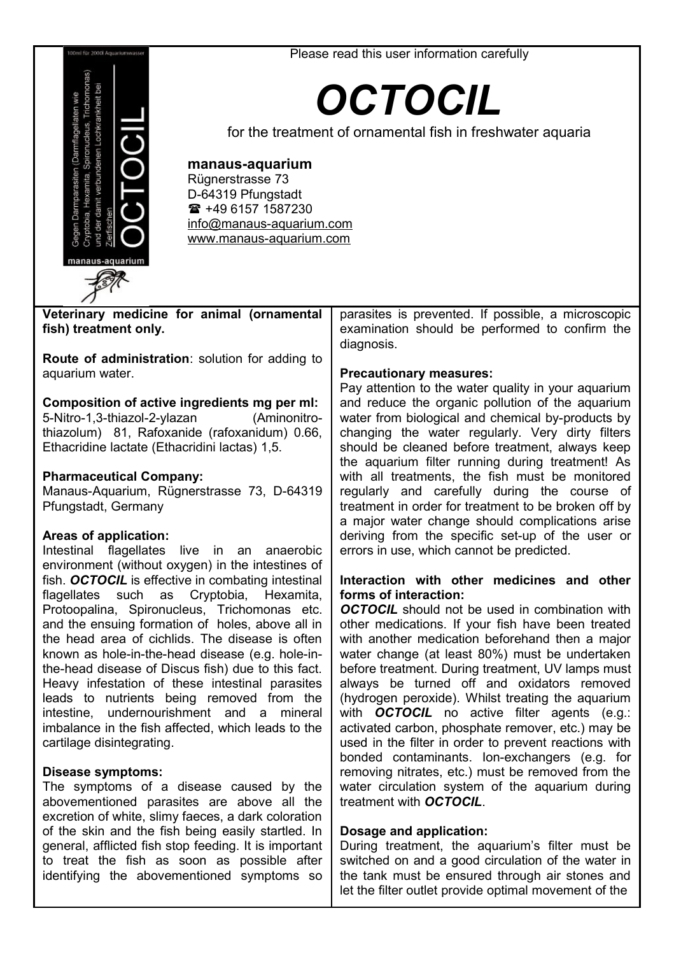#### Please read this user information carefully



# *OCTOCIL*

for the treatment of ornamental fish in freshwater aquaria

## **manaus-aquarium**

and the ensuing formation of holes, above all in the head area of cichlids. The disease is often known as hole-in-the-head disease (e.g. hole-inthe-head disease of Discus fish) due to this fact. Heavy infestation of these intestinal parasites leads to nutrients being removed from the intestine, undernourishment and a mineral imbalance in the fish affected, which leads to the

The symptoms of a disease caused by the abovementioned parasites are above all the excretion of white, slimy faeces, a dark coloration of the skin and the fish being easily startled. In general, afflicted fish stop feeding. It is important to treat the fish as soon as possible after identifying the abovementioned symptoms so

cartilage disintegrating. **Disease symptoms:**

Rügnerstrasse 73 D-64319 Pfungstadt  $*$  +49 6157 1587230 [info@manaus-aquarium.com](mailto:info@manaus-aquarium.com) www.manaus-aquarium.com

| Veterinary medicine for animal (ornamental             | parasites is prevented. If possible, a microscopic    |
|--------------------------------------------------------|-------------------------------------------------------|
| fish) treatment only.                                  | examination should be performed to confirm the        |
|                                                        | diagnosis.                                            |
|                                                        |                                                       |
| <b>Route of administration:</b> solution for adding to |                                                       |
| aquarium water.                                        | <b>Precautionary measures:</b>                        |
|                                                        | Pay attention to the water quality in your aquarium   |
| Composition of active ingredients mg per ml:           | and reduce the organic pollution of the aguarium      |
|                                                        |                                                       |
| 5-Nitro-1,3-thiazol-2-ylazan<br>(Aminonitro-           | water from biological and chemical by-products by     |
| thiazolum) 81, Rafoxanide (rafoxanidum) 0.66,          | changing the water regularly. Very dirty filters      |
| Ethacridine lactate (Ethacridini lactas) 1,5.          | should be cleaned before treatment, always keep       |
|                                                        | the aquarium filter running during treatment! As      |
|                                                        | with all treatments, the fish must be monitored       |
| <b>Pharmaceutical Company:</b>                         |                                                       |
| Manaus-Aquarium, Rügnerstrasse 73, D-64319             | regularly and carefully during the course of          |
| Pfungstadt, Germany                                    | treatment in order for treatment to be broken off by  |
|                                                        | a major water change should complications arise       |
| Areas of application:                                  | deriving from the specific set-up of the user or      |
| Intestinal flagellates live in an anaerobic            | errors in use, which cannot be predicted.             |
|                                                        |                                                       |
| environment (without oxygen) in the intestines of      |                                                       |
| fish. OCTOCIL is effective in combating intestinal     | Interaction with other medicines and other            |
| flagellates such as Cryptobia, Hexamita,               | forms of interaction:                                 |
| Protoopalina, Spironucleus, Trichomonas etc.           | <b>OCTOCIL</b> should not be used in combination with |

*OCTOCIL* should not be used in combination with other medications. If your fish have been treated with another medication beforehand then a major water change (at least 80%) must be undertaken before treatment. During treatment, UV lamps must always be turned off and oxidators removed (hydrogen peroxide). Whilst treating the aquarium with *OCTOCIL* no active filter agents (e.g.: activated carbon, phosphate remover, etc.) may be used in the filter in order to prevent reactions with bonded contaminants. Ion-exchangers (e.g. for removing nitrates, etc.) must be removed from the water circulation system of the aquarium during treatment with *OCTOCIL*.

## **Dosage and application:**

During treatment, the aquarium's filter must be switched on and a good circulation of the water in the tank must be ensured through air stones and let the filter outlet provide optimal movement of the